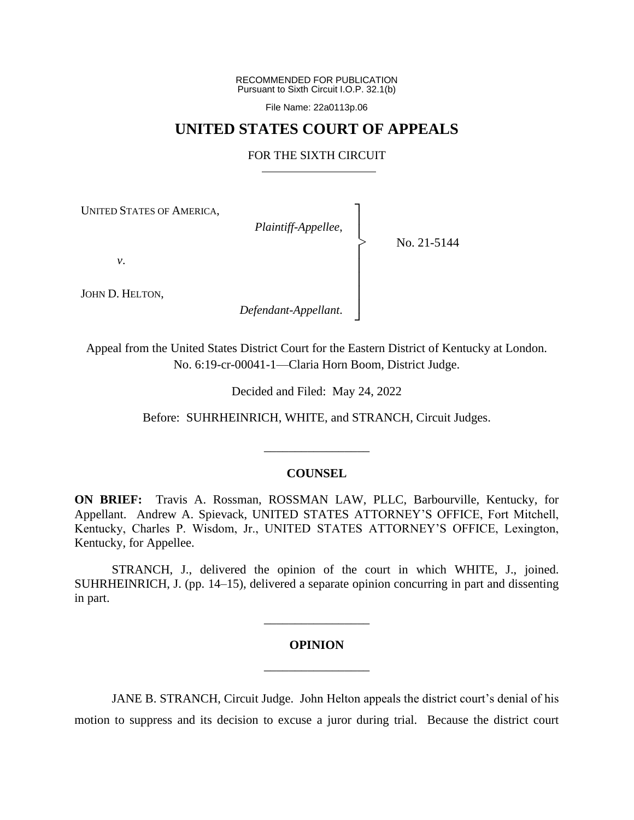RECOMMENDED FOR PUBLICATION Pursuant to Sixth Circuit I.O.P. 32.1(b)

File Name: 22a0113p.06

# **UNITED STATES COURT OF APPEALS**

### FOR THE SIXTH CIRCUIT

┐ │ │ │ │ │ │ │ ┘

|<br>|<br>|

UNITED STATES OF AMERICA,

*Plaintiff-Appellee*,

No. 21-5144

*v*.

JOHN D. HELTON,

*Defendant-Appellant*.

Appeal from the United States District Court for the Eastern District of Kentucky at London. No. 6:19-cr-00041-1—Claria Horn Boom, District Judge.

Decided and Filed: May 24, 2022

Before: SUHRHEINRICH, WHITE, and STRANCH, Circuit Judges.

\_\_\_\_\_\_\_\_\_\_\_\_\_\_\_\_\_

## **COUNSEL**

**ON BRIEF:** Travis A. Rossman, ROSSMAN LAW, PLLC, Barbourville, Kentucky, for Appellant. Andrew A. Spievack, UNITED STATES ATTORNEY'S OFFICE, Fort Mitchell, Kentucky, Charles P. Wisdom, Jr., UNITED STATES ATTORNEY'S OFFICE, Lexington, Kentucky, for Appellee.

STRANCH, J., delivered the opinion of the court in which WHITE, J., joined. SUHRHEINRICH, J. (pp. 14–15), delivered a separate opinion concurring in part and dissenting in part.

# **OPINION** \_\_\_\_\_\_\_\_\_\_\_\_\_\_\_\_\_

\_\_\_\_\_\_\_\_\_\_\_\_\_\_\_\_\_

JANE B. STRANCH, Circuit Judge. John Helton appeals the district court's denial of his motion to suppress and its decision to excuse a juror during trial. Because the district court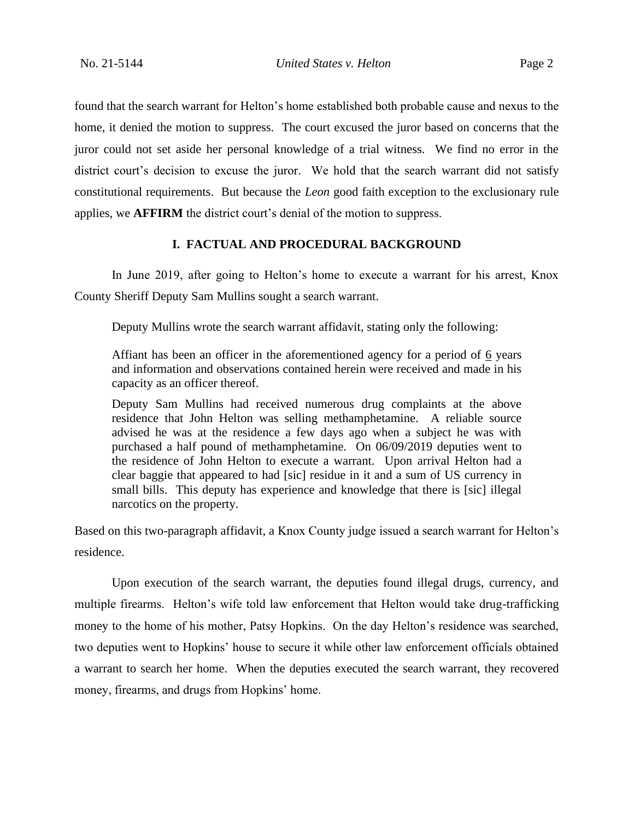found that the search warrant for Helton's home established both probable cause and nexus to the home, it denied the motion to suppress. The court excused the juror based on concerns that the juror could not set aside her personal knowledge of a trial witness. We find no error in the district court's decision to excuse the juror. We hold that the search warrant did not satisfy constitutional requirements. But because the *Leon* good faith exception to the exclusionary rule applies, we **AFFIRM** the district court's denial of the motion to suppress.

## **I. FACTUAL AND PROCEDURAL BACKGROUND**

In June 2019, after going to Helton's home to execute a warrant for his arrest, Knox County Sheriff Deputy Sam Mullins sought a search warrant.

Deputy Mullins wrote the search warrant affidavit, stating only the following:

Affiant has been an officer in the aforementioned agency for a period of 6 years and information and observations contained herein were received and made in his capacity as an officer thereof.

Deputy Sam Mullins had received numerous drug complaints at the above residence that John Helton was selling methamphetamine. A reliable source advised he was at the residence a few days ago when a subject he was with purchased a half pound of methamphetamine. On 06/09/2019 deputies went to the residence of John Helton to execute a warrant. Upon arrival Helton had a clear baggie that appeared to had [sic] residue in it and a sum of US currency in small bills. This deputy has experience and knowledge that there is [sic] illegal narcotics on the property.

Based on this two-paragraph affidavit, a Knox County judge issued a search warrant for Helton's residence.

Upon execution of the search warrant, the deputies found illegal drugs, currency, and multiple firearms. Helton's wife told law enforcement that Helton would take drug-trafficking money to the home of his mother, Patsy Hopkins. On the day Helton's residence was searched, two deputies went to Hopkins' house to secure it while other law enforcement officials obtained a warrant to search her home. When the deputies executed the search warrant, they recovered money, firearms, and drugs from Hopkins' home.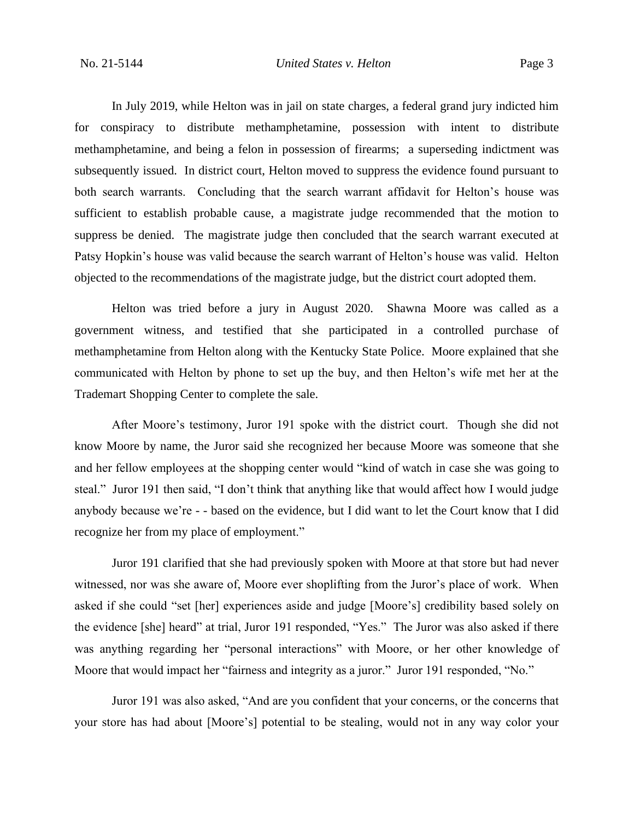In July 2019, while Helton was in jail on state charges, a federal grand jury indicted him for conspiracy to distribute methamphetamine, possession with intent to distribute methamphetamine, and being a felon in possession of firearms; a superseding indictment was subsequently issued. In district court, Helton moved to suppress the evidence found pursuant to both search warrants. Concluding that the search warrant affidavit for Helton's house was sufficient to establish probable cause, a magistrate judge recommended that the motion to suppress be denied. The magistrate judge then concluded that the search warrant executed at Patsy Hopkin's house was valid because the search warrant of Helton's house was valid. Helton objected to the recommendations of the magistrate judge, but the district court adopted them.

Helton was tried before a jury in August 2020. Shawna Moore was called as a government witness, and testified that she participated in a controlled purchase of methamphetamine from Helton along with the Kentucky State Police. Moore explained that she communicated with Helton by phone to set up the buy, and then Helton's wife met her at the Trademart Shopping Center to complete the sale.

After Moore's testimony, Juror 191 spoke with the district court. Though she did not know Moore by name, the Juror said she recognized her because Moore was someone that she and her fellow employees at the shopping center would "kind of watch in case she was going to steal." Juror 191 then said, "I don't think that anything like that would affect how I would judge anybody because we're - - based on the evidence, but I did want to let the Court know that I did recognize her from my place of employment."

Juror 191 clarified that she had previously spoken with Moore at that store but had never witnessed, nor was she aware of, Moore ever shoplifting from the Juror's place of work. When asked if she could "set [her] experiences aside and judge [Moore's] credibility based solely on the evidence [she] heard" at trial, Juror 191 responded, "Yes." The Juror was also asked if there was anything regarding her "personal interactions" with Moore, or her other knowledge of Moore that would impact her "fairness and integrity as a juror." Juror 191 responded, "No."

Juror 191 was also asked, "And are you confident that your concerns, or the concerns that your store has had about [Moore's] potential to be stealing, would not in any way color your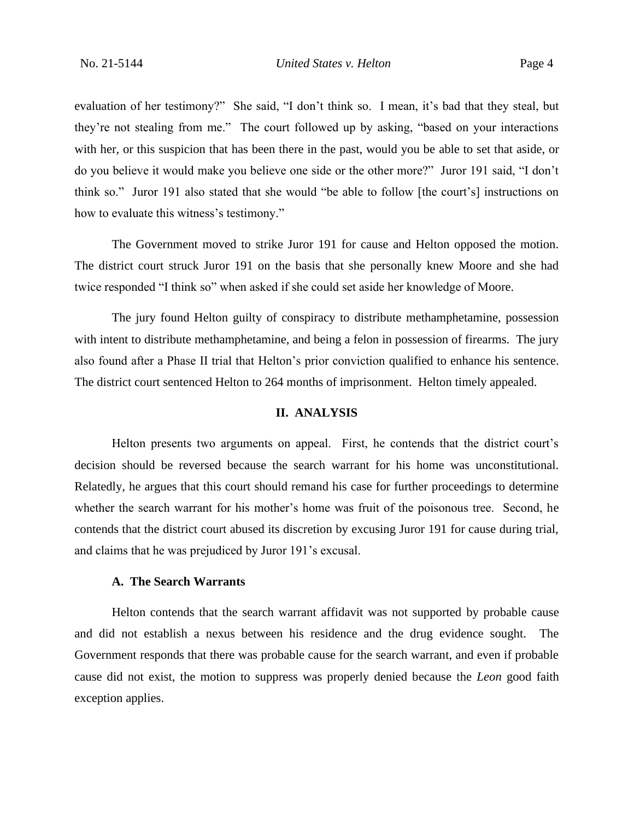evaluation of her testimony?" She said, "I don't think so. I mean, it's bad that they steal, but they're not stealing from me." The court followed up by asking, "based on your interactions with her, or this suspicion that has been there in the past, would you be able to set that aside, or do you believe it would make you believe one side or the other more?" Juror 191 said, "I don't think so." Juror 191 also stated that she would "be able to follow [the court's] instructions on how to evaluate this witness's testimony."

The Government moved to strike Juror 191 for cause and Helton opposed the motion. The district court struck Juror 191 on the basis that she personally knew Moore and she had twice responded "I think so" when asked if she could set aside her knowledge of Moore.

The jury found Helton guilty of conspiracy to distribute methamphetamine, possession with intent to distribute methamphetamine, and being a felon in possession of firearms. The jury also found after a Phase II trial that Helton's prior conviction qualified to enhance his sentence. The district court sentenced Helton to 264 months of imprisonment. Helton timely appealed.

#### **II. ANALYSIS**

Helton presents two arguments on appeal. First, he contends that the district court's decision should be reversed because the search warrant for his home was unconstitutional. Relatedly, he argues that this court should remand his case for further proceedings to determine whether the search warrant for his mother's home was fruit of the poisonous tree. Second, he contends that the district court abused its discretion by excusing Juror 191 for cause during trial, and claims that he was prejudiced by Juror 191's excusal.

# **A. The Search Warrants**

Helton contends that the search warrant affidavit was not supported by probable cause and did not establish a nexus between his residence and the drug evidence sought. The Government responds that there was probable cause for the search warrant, and even if probable cause did not exist, the motion to suppress was properly denied because the *Leon* good faith exception applies.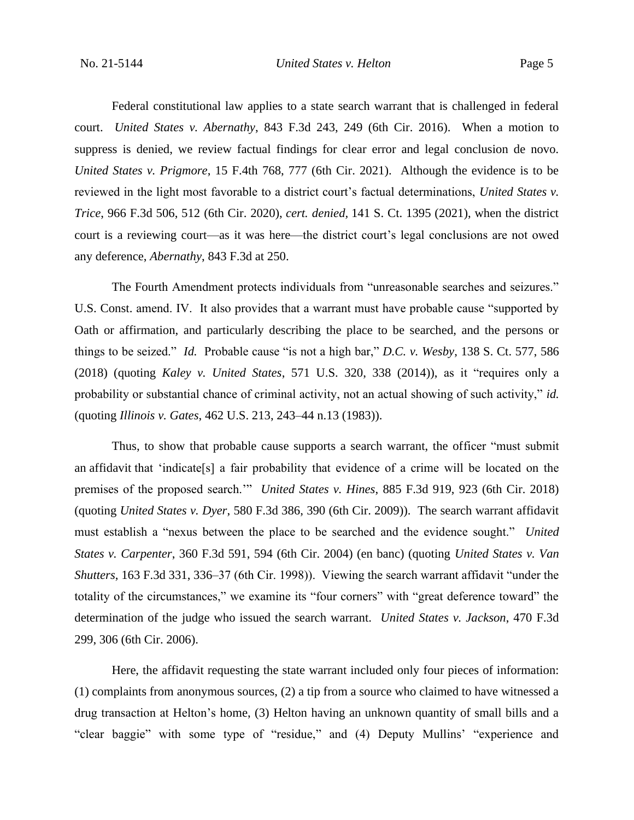Federal constitutional law applies to a state search warrant that is challenged in federal court. *United States v. Abernathy*, 843 F.3d 243, 249 (6th Cir. 2016). When a motion to suppress is denied, we review factual findings for clear error and legal conclusion de novo. *United States v. Prigmore*, 15 F.4th 768, 777 (6th Cir. 2021). Although the evidence is to be reviewed in the light most favorable to a district court's factual determinations, *United States v. Trice*, 966 F.3d 506, 512 (6th Cir. 2020), *cert. denied,* 141 S. Ct. 1395 (2021), when the district court is a reviewing court—as it was here—the district court's legal conclusions are not owed any deference, *Abernathy*, 843 F.3d at 250.

The Fourth Amendment protects individuals from "unreasonable searches and seizures." U.S. Const. amend. IV. It also provides that a warrant must have probable cause "supported by Oath or affirmation, and particularly describing the place to be searched, and the persons or things to be seized." *Id.* Probable cause "is not a high bar," *D.C. v. Wesby*, 138 S. Ct. 577, 586 (2018) (quoting *Kaley v. United States*, 571 U.S. 320, 338 (2014)), as it "requires only a probability or substantial chance of criminal activity, not an actual showing of such activity," *id.* (quoting *Illinois v. Gates*, 462 U.S. 213, 243–44 n.13 (1983)).

Thus, to show that probable cause supports a search warrant, the officer "must submit an affidavit that 'indicate[s] a fair probability that evidence of a crime will be located on the premises of the proposed search.'" *United States v. Hines*, 885 F.3d 919, 923 (6th Cir. 2018) (quoting *United States v. Dyer*, 580 F.3d 386, 390 (6th Cir. 2009)). The search warrant affidavit must establish a "nexus between the place to be searched and the evidence sought." *United States v. Carpenter*, 360 F.3d 591, 594 (6th Cir. 2004) (en banc) (quoting *United States v. Van Shutters*, 163 F.3d 331, 336–37 (6th Cir. 1998)). Viewing the search warrant affidavit "under the totality of the circumstances," we examine its "four corners" with "great deference toward" the determination of the judge who issued the search warrant. *United States v. Jackson*, 470 F.3d 299, 306 (6th Cir. 2006).

Here, the affidavit requesting the state warrant included only four pieces of information: (1) complaints from anonymous sources, (2) a tip from a source who claimed to have witnessed a drug transaction at Helton's home, (3) Helton having an unknown quantity of small bills and a "clear baggie" with some type of "residue," and (4) Deputy Mullins' "experience and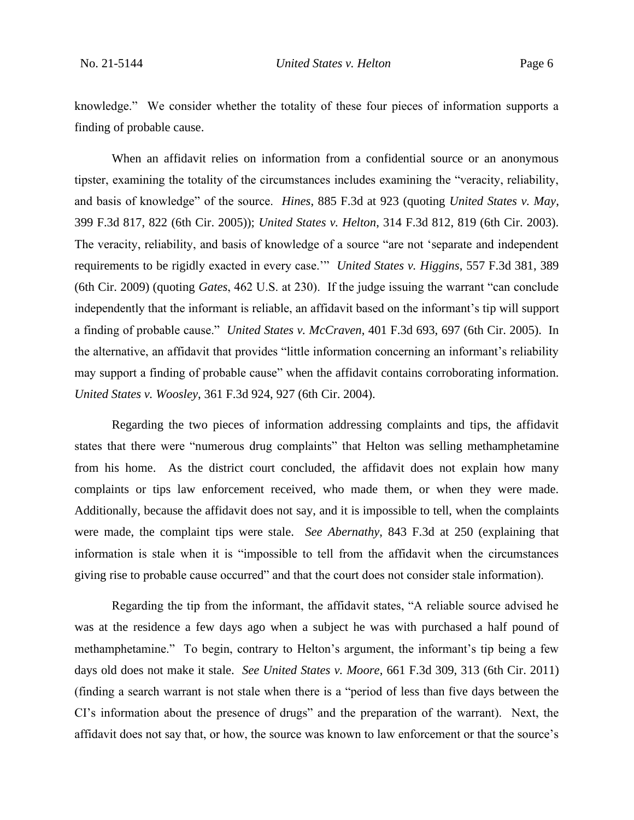knowledge." We consider whether the totality of these four pieces of information supports a finding of probable cause.

When an affidavit relies on information from a confidential source or an anonymous tipster, examining the totality of the circumstances includes examining the "veracity, reliability, and basis of knowledge" of the source. *Hines*, 885 F.3d at 923 (quoting *United States v. May*, 399 F.3d 817, 822 (6th Cir. 2005)); *United States v. Helton*, 314 F.3d 812, 819 (6th Cir. 2003). The veracity, reliability, and basis of knowledge of a source "are not 'separate and independent requirements to be rigidly exacted in every case.'" *United States v. Higgins*, 557 F.3d 381, 389 (6th Cir. 2009) (quoting *Gates*, 462 U.S. at 230). If the judge issuing the warrant "can conclude independently that the informant is reliable, an affidavit based on the informant's tip will support a finding of probable cause." *United States v. McCraven*, 401 F.3d 693, 697 (6th Cir. 2005). In the alternative, an affidavit that provides "little information concerning an informant's reliability may support a finding of probable cause" when the affidavit contains corroborating information. *United States v. Woosley*, 361 F.3d 924, 927 (6th Cir. 2004).

Regarding the two pieces of information addressing complaints and tips, the affidavit states that there were "numerous drug complaints" that Helton was selling methamphetamine from his home. As the district court concluded, the affidavit does not explain how many complaints or tips law enforcement received, who made them, or when they were made. Additionally, because the affidavit does not say, and it is impossible to tell, when the complaints were made, the complaint tips were stale. *See Abernathy*, 843 F.3d at 250 (explaining that information is stale when it is "impossible to tell from the affidavit when the circumstances giving rise to probable cause occurred" and that the court does not consider stale information).

Regarding the tip from the informant, the affidavit states, "A reliable source advised he was at the residence a few days ago when a subject he was with purchased a half pound of methamphetamine." To begin, contrary to Helton's argument, the informant's tip being a few days old does not make it stale. *See United States v. Moore*, 661 F.3d 309, 313 (6th Cir. 2011) (finding a search warrant is not stale when there is a "period of less than five days between the CI's information about the presence of drugs" and the preparation of the warrant). Next, the affidavit does not say that, or how, the source was known to law enforcement or that the source's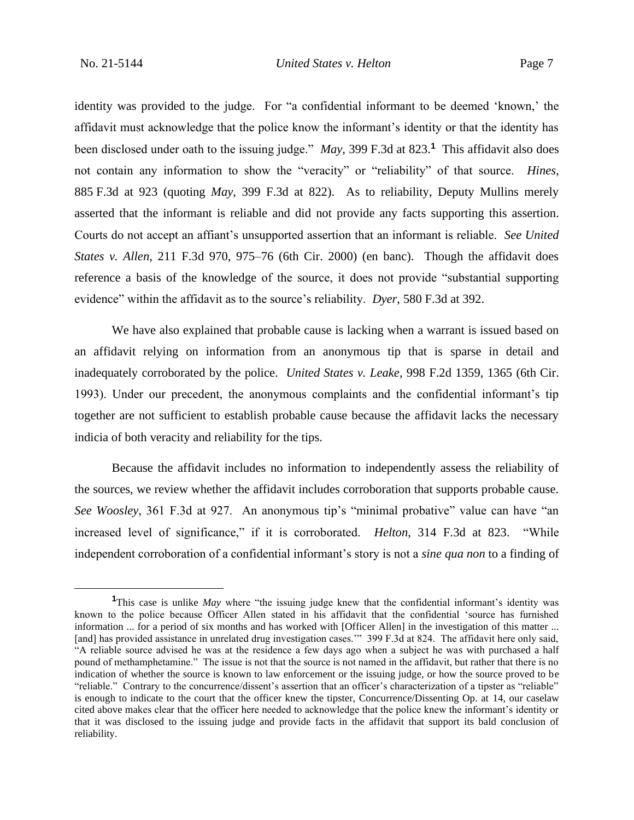identity was provided to the judge. For "a confidential informant to be deemed 'known,' the affidavit must acknowledge that the police know the informant's identity or that the identity has been disclosed under oath to the issuing judge." *May*, 399 F.3d at 823.**<sup>1</sup>** This affidavit also does not contain any information to show the "veracity" or "reliability" of that source. *Hines*, 885 F.3d at 923 (quoting *May*, 399 F.3d at 822). As to reliability, Deputy Mullins merely asserted that the informant is reliable and did not provide any facts supporting this assertion. Courts do not accept an affiant's unsupported assertion that an informant is reliable. *See United States v. Allen*, 211 F.3d 970, 975–76 (6th Cir. 2000) (en banc). Though the affidavit does reference a basis of the knowledge of the source, it does not provide "substantial supporting evidence" within the affidavit as to the source's reliability. *Dyer*, 580 F.3d at 392.

We have also explained that probable cause is lacking when a warrant is issued based on an affidavit relying on information from an anonymous tip that is sparse in detail and inadequately corroborated by the police. *United States v. Leake*, 998 F.2d 1359, 1365 (6th Cir. 1993). Under our precedent, the anonymous complaints and the confidential informant's tip together are not sufficient to establish probable cause because the affidavit lacks the necessary indicia of both veracity and reliability for the tips.

Because the affidavit includes no information to independently assess the reliability of the sources, we review whether the affidavit includes corroboration that supports probable cause. *See Woosley*, 361 F.3d at 927. An anonymous tip's "minimal probative" value can have "an increased level of significance," if it is corroborated. *Helton*, 314 F.3d at 823. "While independent corroboration of a confidential informant's story is not a *sine qua non* to a finding of

**<sup>1</sup>**This case is unlike *May* where "the issuing judge knew that the confidential informant's identity was known to the police because Officer Allen stated in his affidavit that the confidential 'source has furnished information ... for a period of six months and has worked with [Officer Allen] in the investigation of this matter ... [and] has provided assistance in unrelated drug investigation cases.'" 399 F.3d at 824. The affidavit here only said, "A reliable source advised he was at the residence a few days ago when a subject he was with purchased a half pound of methamphetamine." The issue is not that the source is not named in the affidavit, but rather that there is no indication of whether the source is known to law enforcement or the issuing judge, or how the source proved to be "reliable." Contrary to the concurrence/dissent's assertion that an officer's characterization of a tipster as "reliable" is enough to indicate to the court that the officer knew the tipster, Concurrence/Dissenting Op. at 14, our caselaw cited above makes clear that the officer here needed to acknowledge that the police knew the informant's identity or that it was disclosed to the issuing judge and provide facts in the affidavit that support its bald conclusion of reliability.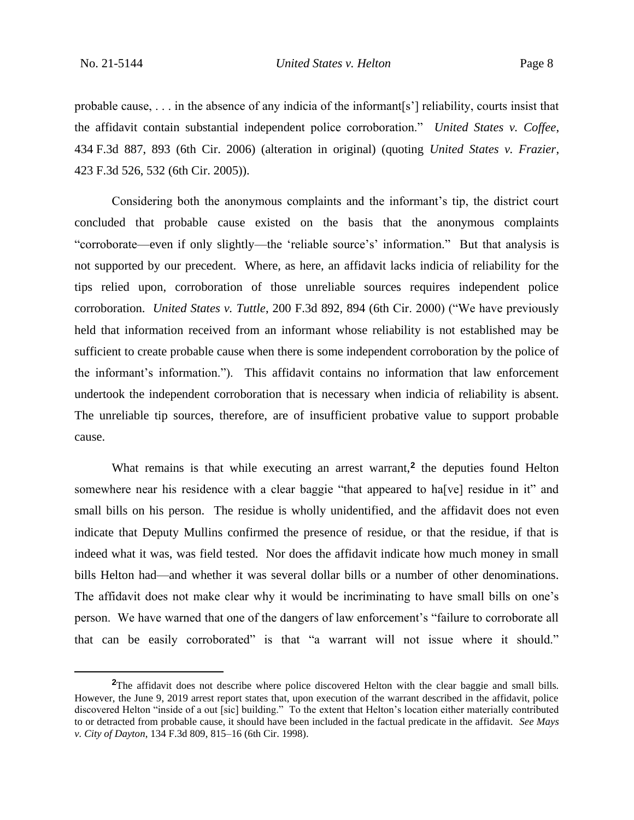probable cause, . . . in the absence of any indicia of the informant[s'] reliability, courts insist that the affidavit contain substantial independent police corroboration." *United States v. Coffee*, 434 F.3d 887, 893 (6th Cir. 2006) (alteration in original) (quoting *United States v. Frazier*, 423 F.3d 526, 532 (6th Cir. 2005)).

Considering both the anonymous complaints and the informant's tip, the district court concluded that probable cause existed on the basis that the anonymous complaints "corroborate—even if only slightly—the 'reliable source's' information." But that analysis is not supported by our precedent. Where, as here, an affidavit lacks indicia of reliability for the tips relied upon, corroboration of those unreliable sources requires independent police corroboration. *United States v. Tuttle*, 200 F.3d 892, 894 (6th Cir. 2000) ("We have previously held that information received from an informant whose reliability is not established may be sufficient to create probable cause when there is some independent corroboration by the police of the informant's information."). This affidavit contains no information that law enforcement undertook the independent corroboration that is necessary when indicia of reliability is absent. The unreliable tip sources, therefore, are of insufficient probative value to support probable cause.

What remains is that while executing an arrest warrant,<sup>2</sup> the deputies found Helton somewhere near his residence with a clear baggie "that appeared to ha<sup>[</sup>ve] residue in it" and small bills on his person. The residue is wholly unidentified, and the affidavit does not even indicate that Deputy Mullins confirmed the presence of residue, or that the residue, if that is indeed what it was, was field tested. Nor does the affidavit indicate how much money in small bills Helton had—and whether it was several dollar bills or a number of other denominations. The affidavit does not make clear why it would be incriminating to have small bills on one's person. We have warned that one of the dangers of law enforcement's "failure to corroborate all that can be easily corroborated" is that "a warrant will not issue where it should."

**<sup>2</sup>**The affidavit does not describe where police discovered Helton with the clear baggie and small bills. However, the June 9, 2019 arrest report states that, upon execution of the warrant described in the affidavit, police discovered Helton "inside of a out [sic] building." To the extent that Helton's location either materially contributed to or detracted from probable cause, it should have been included in the factual predicate in the affidavit. *See Mays v. City of Dayton*, 134 F.3d 809, 815–16 (6th Cir. 1998).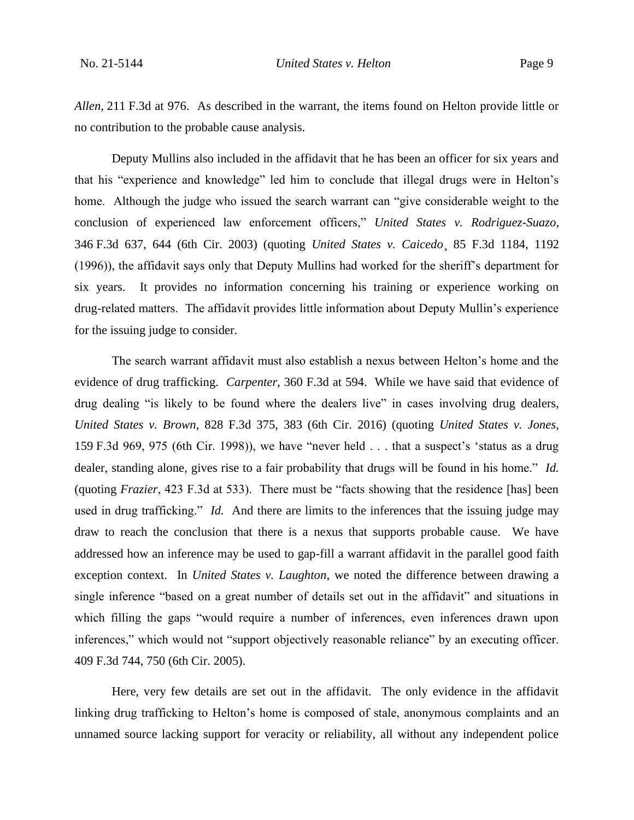*Allen*, 211 F.3d at 976. As described in the warrant, the items found on Helton provide little or no contribution to the probable cause analysis.

Deputy Mullins also included in the affidavit that he has been an officer for six years and that his "experience and knowledge" led him to conclude that illegal drugs were in Helton's home. Although the judge who issued the search warrant can "give considerable weight to the conclusion of experienced law enforcement officers," *United States v. Rodriguez-Suazo*, 346 F.3d 637, 644 (6th Cir. 2003) (quoting *United States v. Caicedo*¸ 85 F.3d 1184, 1192 (1996)), the affidavit says only that Deputy Mullins had worked for the sheriff's department for six years. It provides no information concerning his training or experience working on drug-related matters. The affidavit provides little information about Deputy Mullin's experience for the issuing judge to consider.

The search warrant affidavit must also establish a nexus between Helton's home and the evidence of drug trafficking. *Carpenter*, 360 F.3d at 594. While we have said that evidence of drug dealing "is likely to be found where the dealers live" in cases involving drug dealers, *United States v. Brown*, 828 F.3d 375, 383 (6th Cir. 2016) (quoting *United States v. Jones*, 159 F.3d 969, 975 (6th Cir. 1998)), we have "never held . . . that a suspect's 'status as a drug dealer, standing alone, gives rise to a fair probability that drugs will be found in his home." *Id.* (quoting *Frazier*, 423 F.3d at 533). There must be "facts showing that the residence [has] been used in drug trafficking." *Id.* And there are limits to the inferences that the issuing judge may draw to reach the conclusion that there is a nexus that supports probable cause. We have addressed how an inference may be used to gap-fill a warrant affidavit in the parallel good faith exception context. In *United States v. Laughton*, we noted the difference between drawing a single inference "based on a great number of details set out in the affidavit" and situations in which filling the gaps "would require a number of inferences, even inferences drawn upon inferences," which would not "support objectively reasonable reliance" by an executing officer. 409 F.3d 744, 750 (6th Cir. 2005).

Here, very few details are set out in the affidavit. The only evidence in the affidavit linking drug trafficking to Helton's home is composed of stale, anonymous complaints and an unnamed source lacking support for veracity or reliability, all without any independent police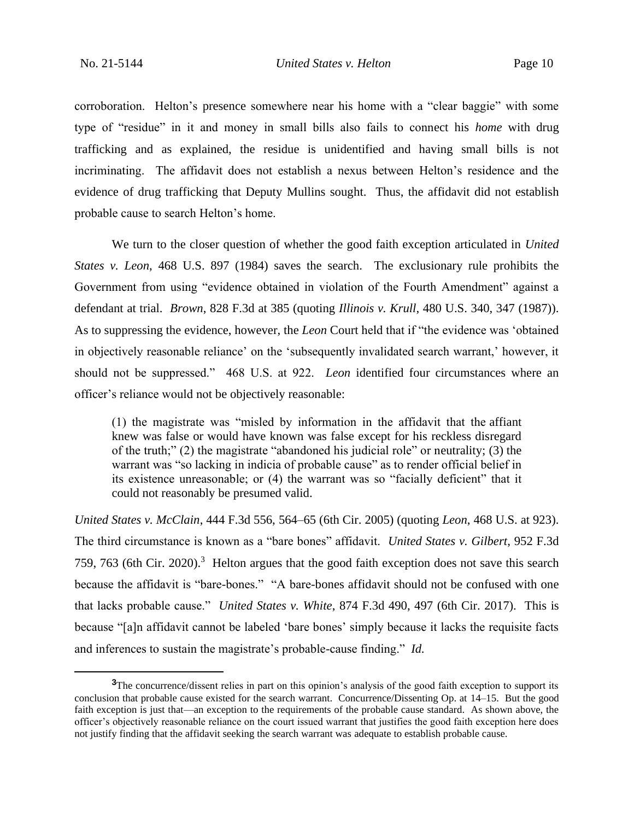corroboration. Helton's presence somewhere near his home with a "clear baggie" with some type of "residue" in it and money in small bills also fails to connect his *home* with drug trafficking and as explained, the residue is unidentified and having small bills is not incriminating. The affidavit does not establish a nexus between Helton's residence and the evidence of drug trafficking that Deputy Mullins sought. Thus, the affidavit did not establish probable cause to search Helton's home.

We turn to the closer question of whether the good faith exception articulated in *United States v. Leon*, 468 U.S. 897 (1984) saves the search. The exclusionary rule prohibits the Government from using "evidence obtained in violation of the Fourth Amendment" against a defendant at trial. *Brown*, 828 F.3d at 385 (quoting *Illinois v. Krull*, 480 U.S. 340, 347 (1987)). As to suppressing the evidence, however, the *Leon* Court held that if "the evidence was 'obtained in objectively reasonable reliance' on the 'subsequently invalidated search warrant,' however, it should not be suppressed." 468 U.S. at 922. *Leon* identified four circumstances where an officer's reliance would not be objectively reasonable:

(1) the magistrate was "misled by information in the affidavit that the affiant knew was false or would have known was false except for his reckless disregard of the truth;" (2) the magistrate "abandoned his judicial role" or neutrality; (3) the warrant was "so lacking in indicia of probable cause" as to render official belief in its existence unreasonable; or (4) the warrant was so "facially deficient" that it could not reasonably be presumed valid.

*United States v. McClain*, 444 F.3d 556, 564–65 (6th Cir. 2005) (quoting *Leon*, 468 U.S. at 923). The third circumstance is known as a "bare bones" affidavit. *United States v. Gilbert*, 952 F.3d 759, 763 (6th Cir. 2020).<sup>3</sup> Helton argues that the good faith exception does not save this search because the affidavit is "bare-bones." "A bare-bones affidavit should not be confused with one that lacks probable cause." *United States v. White*, 874 F.3d 490, 497 (6th Cir. 2017). This is because "[a]n affidavit cannot be labeled 'bare bones' simply because it lacks the requisite facts and inferences to sustain the magistrate's probable-cause finding." *Id.*

**<sup>3</sup>**The concurrence/dissent relies in part on this opinion's analysis of the good faith exception to support its conclusion that probable cause existed for the search warrant. Concurrence/Dissenting Op. at 14–15. But the good faith exception is just that—an exception to the requirements of the probable cause standard. As shown above, the officer's objectively reasonable reliance on the court issued warrant that justifies the good faith exception here does not justify finding that the affidavit seeking the search warrant was adequate to establish probable cause.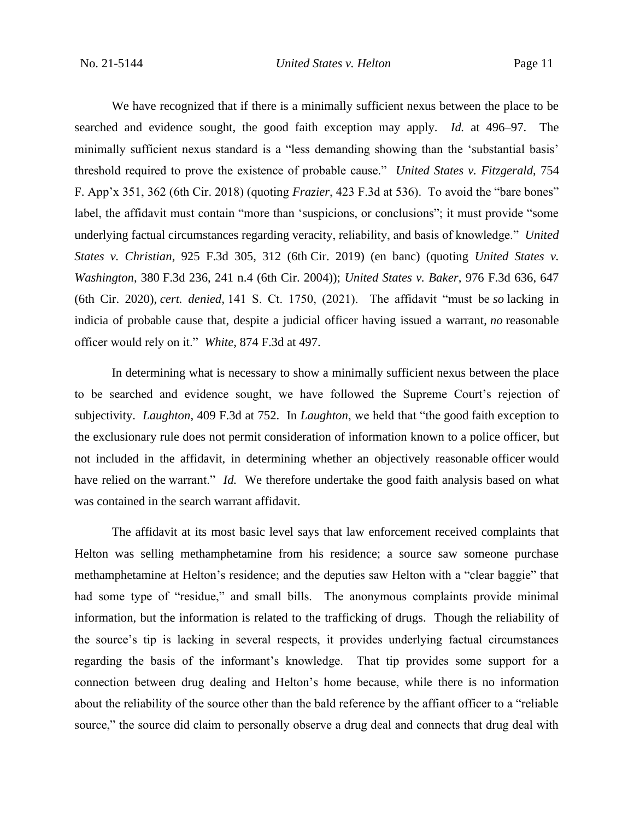We have recognized that if there is a minimally sufficient nexus between the place to be searched and evidence sought, the good faith exception may apply. *Id.* at 496–97. The minimally sufficient nexus standard is a "less demanding showing than the 'substantial basis' threshold required to prove the existence of probable cause." *United States v. Fitzgerald*, 754 F. App'x 351, 362 (6th Cir. 2018) (quoting *Frazier*, 423 F.3d at 536). To avoid the "bare bones" label, the affidavit must contain "more than 'suspicions, or conclusions"; it must provide "some underlying factual circumstances regarding veracity, reliability, and basis of knowledge." *United States v. Christian*, 925 F.3d 305, 312 (6th Cir. 2019) (en banc) (quoting *United States v. Washington*, 380 F.3d 236, 241 n.4 (6th Cir. 2004)); *United States v. Baker*, 976 F.3d 636, 647 (6th Cir. 2020), *cert. denied,* 141 S. Ct. 1750, (2021). The affidavit "must be *so* lacking in indicia of probable cause that, despite a judicial officer having issued a warrant, *no* reasonable officer would rely on it." *White*, 874 F.3d at 497.

In determining what is necessary to show a minimally sufficient nexus between the place to be searched and evidence sought, we have followed the Supreme Court's rejection of subjectivity. *Laughton*, 409 F.3d at 752. In *Laughton*, we held that "the good faith exception to the exclusionary rule does not permit consideration of information known to a police officer, but not included in the affidavit, in determining whether an objectively reasonable officer would have relied on the warrant." *Id.* We therefore undertake the good faith analysis based on what was contained in the search warrant affidavit.

The affidavit at its most basic level says that law enforcement received complaints that Helton was selling methamphetamine from his residence; a source saw someone purchase methamphetamine at Helton's residence; and the deputies saw Helton with a "clear baggie" that had some type of "residue," and small bills. The anonymous complaints provide minimal information, but the information is related to the trafficking of drugs. Though the reliability of the source's tip is lacking in several respects, it provides underlying factual circumstances regarding the basis of the informant's knowledge. That tip provides some support for a connection between drug dealing and Helton's home because, while there is no information about the reliability of the source other than the bald reference by the affiant officer to a "reliable source," the source did claim to personally observe a drug deal and connects that drug deal with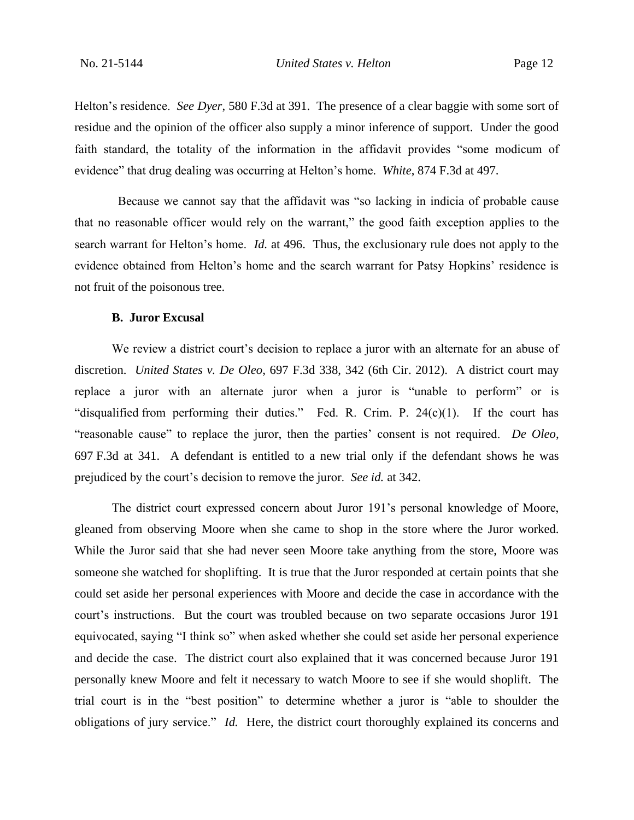Helton's residence. *See Dyer*, 580 F.3d at 391. The presence of a clear baggie with some sort of residue and the opinion of the officer also supply a minor inference of support. Under the good faith standard, the totality of the information in the affidavit provides "some modicum of evidence" that drug dealing was occurring at Helton's home. *White*, 874 F.3d at 497.

 Because we cannot say that the affidavit was "so lacking in indicia of probable cause that no reasonable officer would rely on the warrant," the good faith exception applies to the search warrant for Helton's home. *Id.* at 496. Thus, the exclusionary rule does not apply to the evidence obtained from Helton's home and the search warrant for Patsy Hopkins' residence is not fruit of the poisonous tree.

#### **B. Juror Excusal**

We review a district court's decision to replace a juror with an alternate for an abuse of discretion. *United States v. De Oleo*, 697 F.3d 338, 342 (6th Cir. 2012). A district court may replace a juror with an alternate juror when a juror is "unable to perform" or is "disqualified from performing their duties." Fed. R. Crim. P. 24(c)(1). If the court has "reasonable cause" to replace the juror, then the parties' consent is not required. *De Oleo*, 697 F.3d at 341. A defendant is entitled to a new trial only if the defendant shows he was prejudiced by the court's decision to remove the juror. *See id.* at 342.

The district court expressed concern about Juror 191's personal knowledge of Moore, gleaned from observing Moore when she came to shop in the store where the Juror worked. While the Juror said that she had never seen Moore take anything from the store, Moore was someone she watched for shoplifting. It is true that the Juror responded at certain points that she could set aside her personal experiences with Moore and decide the case in accordance with the court's instructions. But the court was troubled because on two separate occasions Juror 191 equivocated, saying "I think so" when asked whether she could set aside her personal experience and decide the case. The district court also explained that it was concerned because Juror 191 personally knew Moore and felt it necessary to watch Moore to see if she would shoplift. The trial court is in the "best position" to determine whether a juror is "able to shoulder the obligations of jury service." *Id.* Here, the district court thoroughly explained its concerns and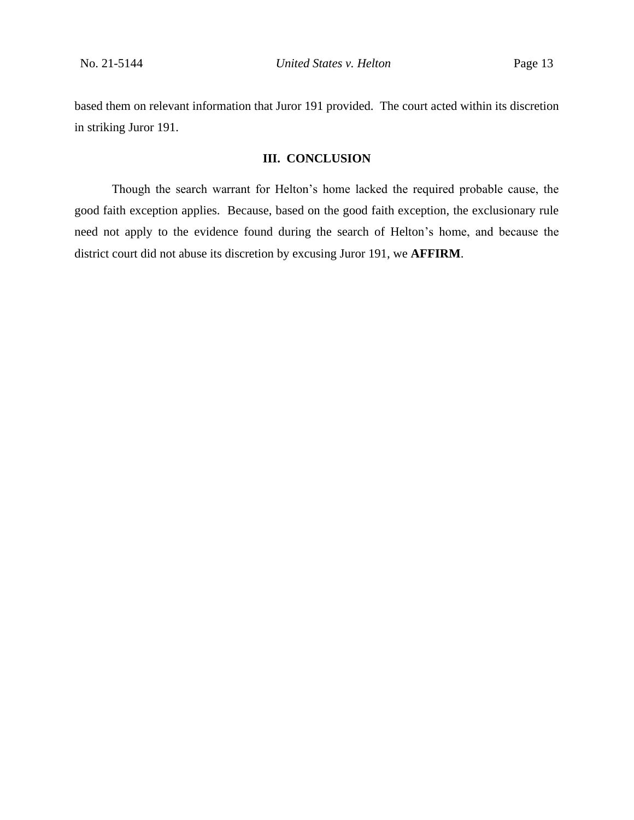based them on relevant information that Juror 191 provided. The court acted within its discretion in striking Juror 191.

# **III. CONCLUSION**

Though the search warrant for Helton's home lacked the required probable cause, the good faith exception applies. Because, based on the good faith exception, the exclusionary rule need not apply to the evidence found during the search of Helton's home, and because the district court did not abuse its discretion by excusing Juror 191, we **AFFIRM**.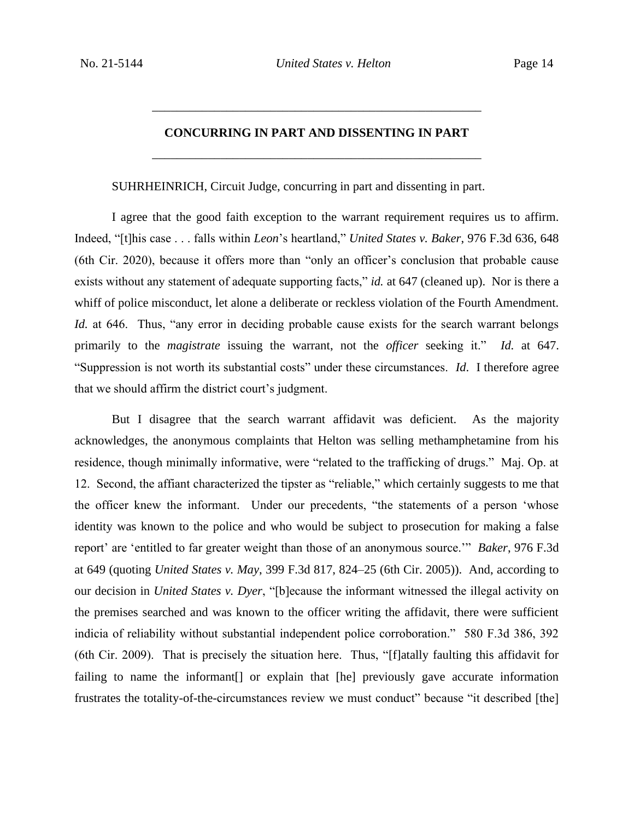# **CONCURRING IN PART AND DISSENTING IN PART** \_\_\_\_\_\_\_\_\_\_\_\_\_\_\_\_\_\_\_\_\_\_\_\_\_\_\_\_\_\_\_\_\_\_\_\_\_\_\_\_\_\_\_\_\_\_\_\_\_\_\_\_\_

\_\_\_\_\_\_\_\_\_\_\_\_\_\_\_\_\_\_\_\_\_\_\_\_\_\_\_\_\_\_\_\_\_\_\_\_\_\_\_\_\_\_\_\_\_\_\_\_\_\_\_\_\_

SUHRHEINRICH, Circuit Judge, concurring in part and dissenting in part.

I agree that the good faith exception to the warrant requirement requires us to affirm. Indeed, "[t]his case . . . falls within *Leon*'s heartland," *United States v. Baker*, 976 F.3d 636, 648 (6th Cir. 2020), because it offers more than "only an officer's conclusion that probable cause exists without any statement of adequate supporting facts," *id.* at 647 (cleaned up). Nor is there a whiff of police misconduct, let alone a deliberate or reckless violation of the Fourth Amendment. *Id.* at 646. Thus, "any error in deciding probable cause exists for the search warrant belongs primarily to the *magistrate* issuing the warrant, not the *officer* seeking it." *Id.* at 647. "Suppression is not worth its substantial costs" under these circumstances. *Id*. I therefore agree that we should affirm the district court's judgment.

But I disagree that the search warrant affidavit was deficient. As the majority acknowledges, the anonymous complaints that Helton was selling methamphetamine from his residence, though minimally informative, were "related to the trafficking of drugs." Maj. Op. at 12. Second, the affiant characterized the tipster as "reliable," which certainly suggests to me that the officer knew the informant. Under our precedents, "the statements of a person 'whose identity was known to the police and who would be subject to prosecution for making a false report' are 'entitled to far greater weight than those of an anonymous source.'" *Baker*, 976 F.3d at 649 (quoting *United States v. May*, 399 F.3d 817, 824–25 (6th Cir. 2005)). And, according to our decision in *United States v. Dyer*, "[b]ecause the informant witnessed the illegal activity on the premises searched and was known to the officer writing the affidavit, there were sufficient indicia of reliability without substantial independent police corroboration." 580 F.3d 386, 392 (6th Cir. 2009). That is precisely the situation here. Thus, "[f]atally faulting this affidavit for failing to name the informant<sup>[]</sup> or explain that [he] previously gave accurate information frustrates the totality-of-the-circumstances review we must conduct" because "it described [the]